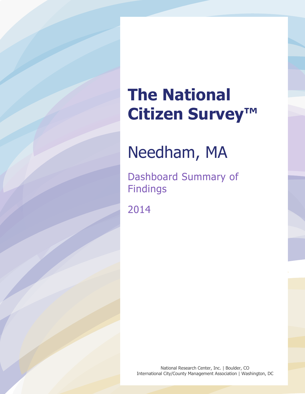# **The National Citizen Survey™**

## Needham, MA

Dashboard Summary of Findings

2014

National Research Center, Inc. | Boulder, CO International City/County Management Association | Washington, DC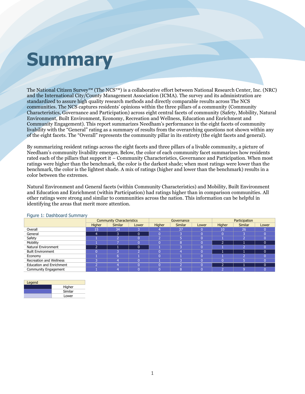## **Summary**

The National Citizen Survey™ (The NCS™) is a collaborative effort between National Research Center, Inc. (NRC) and the International City/County Management Association (ICMA). The survey and its administration are standardized to assure high quality research methods and directly comparable results across The NCS communities. The NCS captures residents' opinions within the three pillars of a community (Community Characteristics, Governance and Participation) across eight central facets of community (Safety, Mobility, Natural Environment, Built Environment, Economy, Recreation and Wellness, Education and Enrichment and Community Engagement). This report summarizes Needham's performance in the eight facets of community livability with the "General" rating as a summary of results from the overarching questions not shown within any of the eight facets. The "Overall" represents the community pillar in its entirety (the eight facets and general).

By summarizing resident ratings across the eight facets and three pillars of a livable community, a picture of Needham's community livability emerges. Below, the color of each community facet summarizes how residents rated each of the pillars that support it – Community Characteristics, Governance and Participation. When most ratings were higher than the benchmark, the color is the darkest shade; when most ratings were lower than the benchmark, the color is the lightest shade. A mix of ratings (higher and lower than the benchmark) results in a color between the extremes.

Natural Environment and General facets (within Community Characteristics) and Mobility, Built Environment and Education and Enrichment (within Participation) had ratings higher than in comparison communities. All other ratings were strong and similar to communities across the nation. This information can be helpful in identifying the areas that merit more attention.

|                                 | <b>Community Characteristics</b> |                |       |          | Governance     |       | Participation |                |          |  |
|---------------------------------|----------------------------------|----------------|-------|----------|----------------|-------|---------------|----------------|----------|--|
|                                 | Higher                           | <b>Similar</b> | Lower | Higher   | <b>Similar</b> | Lower | Higher        | <b>Similar</b> | Lower    |  |
| Overall                         | 15                               | 34             |       |          | 37             |       | 10            | 26             |          |  |
| General                         | 4                                | 3              | 0     | $\Omega$ |                |       |               |                |          |  |
| Safety                          |                                  |                |       | n        |                |       |               |                |          |  |
| Mobility                        |                                  |                |       | $\Omega$ |                |       |               |                | $\Omega$ |  |
| <b>Natural Environment</b>      |                                  |                | 0     |          |                |       |               |                |          |  |
| <b>Built Environment</b>        |                                  |                |       | $\Omega$ |                |       |               |                | n        |  |
| Economy                         |                                  |                |       | $\Omega$ |                |       |               |                |          |  |
| Recreation and Wellness         |                                  |                |       |          |                |       |               |                |          |  |
| <b>Education and Enrichment</b> |                                  |                | 0     | $\Omega$ |                |       |               |                | n        |  |
| Community Engagement            |                                  |                |       |          |                |       |               |                |          |  |

### Figure 1: Dashboard Summary

| Legend |         |
|--------|---------|
|        | Higher  |
|        | Similar |
|        | Lower   |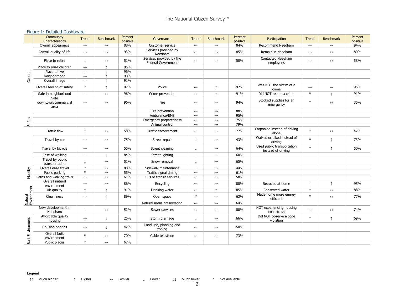### Figure 1: Detailed Dashboard

|                          | Community<br>Characteristics        | Trend                 | <b>Benchmark</b>      | Percent<br>positive | Governance                                            | <b>Trend</b>          | <b>Benchmark</b>      | Percent<br>positive | Participation                                    | Trend                 | <b>Benchmark</b>      | Percent<br>positive |
|--------------------------|-------------------------------------|-----------------------|-----------------------|---------------------|-------------------------------------------------------|-----------------------|-----------------------|---------------------|--------------------------------------------------|-----------------------|-----------------------|---------------------|
|                          | Overall appearance                  | $\longleftrightarrow$ | $\longleftrightarrow$ | 88%                 | Customer service                                      | $\longleftrightarrow$ | $\longleftrightarrow$ | 84%                 | Recommend Needham                                | $\longleftrightarrow$ | $\leftrightarrow$     | 94%                 |
|                          | Overall quality of life             | $\longleftrightarrow$ | $\leftrightarrow$     | 93%                 | Services provided by<br>Needham                       | $\longleftrightarrow$ | $\longleftrightarrow$ | 85%                 | Remain in Needham                                | $\leftrightarrow$     | $\longleftrightarrow$ | 89%                 |
|                          | Place to retire                     | $\pm$                 | $\longleftrightarrow$ | 51%                 | Services provided by the<br><b>Federal Government</b> | $\leftrightarrow$     | $\leftrightarrow$     | 50%                 | Contacted Needham<br>employees                   | $\longleftrightarrow$ | $\longleftrightarrow$ | 58%                 |
|                          | Place to raise children             | $\longleftrightarrow$ |                       | 95%                 |                                                       |                       |                       |                     |                                                  |                       |                       |                     |
| General                  | Place to live                       | $\leftrightarrow$     |                       | 96%                 |                                                       |                       |                       |                     |                                                  |                       |                       |                     |
|                          | Neighborhood                        | $\longleftrightarrow$ |                       | 90%                 |                                                       |                       |                       |                     |                                                  |                       |                       |                     |
|                          | Overall image                       | $\leftrightarrow$     | $\uparrow$            | 91%                 |                                                       |                       |                       |                     |                                                  |                       |                       |                     |
|                          | Overall feeling of safety           | $\ast$                | $\uparrow$            | 97%                 | Police                                                | $\longleftrightarrow$ | ↑                     | 92%                 | Was NOT the victim of a<br>crime                 | $\leftrightarrow$     | $\longleftrightarrow$ | 95%                 |
|                          | Safe in neighborhood                | $\leftrightarrow$     | $\leftrightarrow$     | 96%                 | Crime prevention                                      | $\longleftrightarrow$ |                       | 91%                 | Did NOT report a crime                           | $\ast$                |                       | 91%                 |
|                          | Safe<br>downtown/commercial<br>area | $\longleftrightarrow$ | $\longleftrightarrow$ | 96%                 | Fire                                                  | $\longleftrightarrow$ | $\longleftrightarrow$ | 94%                 | Stocked supplies for an<br>emergency             | $\ast$                | $\longleftrightarrow$ | 35%                 |
|                          |                                     |                       |                       |                     | Fire prevention                                       | $\longleftrightarrow$ | $\longleftrightarrow$ | 88%                 |                                                  |                       |                       |                     |
|                          |                                     |                       |                       |                     | Ambulance/EMS                                         | $\longleftrightarrow$ | $\leftrightarrow$     | 95%                 |                                                  |                       |                       |                     |
| Safety                   |                                     |                       |                       |                     | Emergency preparedness                                | $\longleftrightarrow$ | $\leftrightarrow$     | 75%                 |                                                  |                       |                       |                     |
|                          |                                     |                       |                       |                     | Animal control                                        | $\longleftrightarrow$ | $\longleftrightarrow$ | 79%                 |                                                  |                       |                       |                     |
|                          | <b>Traffic flow</b>                 | $\uparrow$            | $\longleftrightarrow$ | 58%                 | Traffic enforcement                                   | $\longleftrightarrow$ | $\leftrightarrow$     | 77%                 | Carpooled instead of driving<br>alone            | $\ast$                | $\leftrightarrow$     | 47%                 |
|                          | Travel by car                       | $\leftrightarrow$     | $\leftrightarrow$     | 75%                 | Street repair                                         |                       | $\leftrightarrow$     | 43%                 | Walked or biked instead of<br>driving            | $\ast$                | ↑                     | 73%                 |
|                          | Travel by bicycle                   | $\longleftrightarrow$ | $\longleftrightarrow$ | 55%                 | Street cleaning                                       |                       | $\leftrightarrow$     | 64%                 | Used public transportation<br>instead of driving | $\ast$                | ↑                     | 50%                 |
|                          | Ease of walking                     | $\leftrightarrow$     | $\uparrow$            | 84%                 | Street lighting                                       |                       | $\longleftrightarrow$ | 60%                 |                                                  |                       |                       |                     |
|                          | Travel by public<br>transportation  |                       | $\leftrightarrow$     | 51%                 | Snow removal                                          |                       | $\leftrightarrow$     | 65%                 |                                                  |                       |                       |                     |
|                          | Overall ease travel                 | $\ast$                | $\leftrightarrow$     | 88%                 | Sidewalk maintenance                                  |                       | $\leftrightarrow$     | 44%                 |                                                  |                       |                       |                     |
| Mobility                 | Public parking                      | $\ast$                | $\leftrightarrow$     | 55%                 | Traffic signal timing                                 | $\longleftrightarrow$ | $\leftrightarrow$     | 61%                 |                                                  |                       |                       |                     |
|                          | Paths and walking trails            | $\longleftrightarrow$ | $\leftrightarrow$     | 61%                 | Bus or transit services                               | $\longleftrightarrow$ | $\longleftrightarrow$ | 58%                 |                                                  |                       |                       |                     |
|                          | Overall natural<br>environment      | $\leftrightarrow$     | $\longleftrightarrow$ | 86%                 | Recycling                                             | $\leftrightarrow$     | $\leftrightarrow$     | 80%                 | Recycled at home                                 | ↑                     | ↑                     | 95%                 |
|                          | Air quality                         | $\uparrow$            | $\uparrow$            | 91%                 | Drinking water                                        | $\longleftrightarrow$ | $\uparrow$            | 85%                 | Conserved water                                  | $\ast$                | $\longleftrightarrow$ | 88%                 |
| Natural<br>Environment   | Cleanliness                         | $\leftrightarrow$     | $\uparrow$            | 89%                 | Open space                                            | $\ast$                | $\leftrightarrow$     | 63%                 | Made home more energy<br>efficient               | $\ast$                | $\leftrightarrow$     | 77%                 |
|                          |                                     |                       |                       |                     | Natural areas preservation                            | $\longleftrightarrow$ | $\leftrightarrow$     | 64%                 |                                                  |                       |                       |                     |
| <b>Built Environment</b> | New development in<br>Needham       |                       | $\longleftrightarrow$ | 52%                 | Sewer services                                        | $\leftrightarrow$     | $\leftrightarrow$     | 88%                 | NOT experiencing housing<br>cost stress          | $\leftrightarrow$     | $\leftrightarrow$     | 74%                 |
|                          | Affordable quality<br>housing       | $\leftrightarrow$     | $\perp$               | 25%                 | Storm drainage                                        |                       | $\leftrightarrow$     | 66%                 | Did NOT observe a code<br>violation              | $\ast$                | ↑                     | 69%                 |
|                          | Housing options                     | $\longleftrightarrow$ | $\perp$               | 42%                 | Land use, planning and<br>zoning                      | $\longleftrightarrow$ | $\leftrightarrow$     | 50%                 |                                                  |                       |                       |                     |
|                          | Overall built<br>environment        | $\ast$                | $\leftrightarrow$     | 70%                 | Cable television                                      | $\leftrightarrow$     | $\leftrightarrow$     | 73%                 |                                                  |                       |                       |                     |
|                          | Public places                       | $\ast$                | $\leftrightarrow$     | 67%                 |                                                       |                       |                       |                     |                                                  |                       |                       |                     |

#### **Legend**

↑↑ Much higher ↑ Higher ↔ Similar ↓ Lower ↓↓ Much lower \* Not available

2